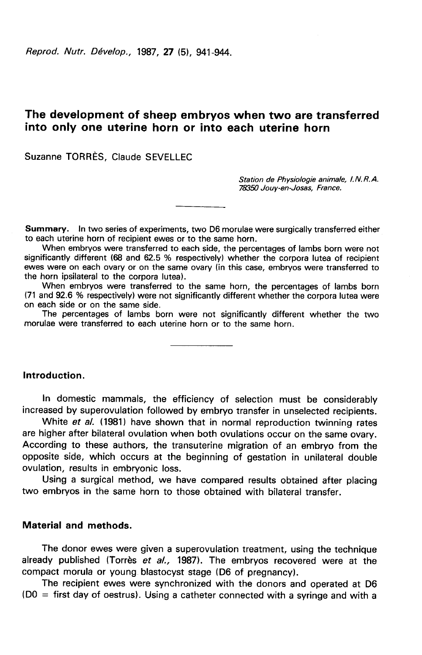Reprod. Nutr. Dévelop., 1987, 27 (5), 941-944.

# The development of sheep embryos when two are transferred into only one uterine horn or into each uterine horn

Suzanne TORRÈS, Claude SEVELLEC

Station de Physiologie animale, 1. N. R. A. 78350 Jouy-en-Josas, France.

Summary. In two series of experiments, two D6 morulae were surgically transferred either to each uterine horn of recipient ewes or to the same horn.

When embryos were transferred to each side, the percentages of lambs born were not significantly different (68 and 62.5 % respectively) whether the corpora lutea of recipient ewes were on each ovary or on the same ovary (in this case, embryos were transferred to the horn ipsilateral to the corpora lutea).

When embryos were transferred to the same horn, the percentages of lambs born (71 and 92.6 % respectively) were not significantly different whether the corpora lutea were on each side or on the same side.

The percentages of lambs born were not significantly different whether the two morulae were transferred to each uterine horn or to the same horn.

Introduction.

In domestic mammals, the efficiency of selection must be considerably increased by superovulation followed by embryo transfer in unselected recipients.

White et al. (1981) have shown that in normal reproduction twinning rates are higher after bilateral ovulation when both ovulations occur on the same ovary. According to these authors, the transuterine migration of an embryo from the opposite side, which occurs at the beginning of gestation in unilateral double ovulation, results in embryonic loss.

Using a surgical method, we have compared results obtained after placing two embryos in the same horn to those obtained with bilateral transfer.

# Material and methods.

The donor ewes were given a superovulation treatment, using the technique already published (Torrès et  $al.$ , 1987). The embryos recovered were at the compact morula or young blastocyst stage (D6 of pregnancy).

The recipient ewes were synchronized with the donors and operated at D6 (DO = first day of oestrus). Using a catheter connected with a syringe and with a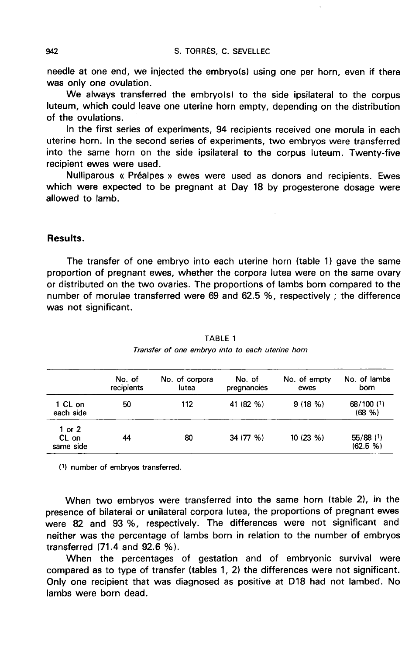needle at one end, we injected the embryo(s) using one per horn, even if there was only one ovulation.

We always transferred the embryo(s) to the side ipsilateral to the corpus luteum, which could leave one uterine horn empty, depending on the distribution of the ovulations.

In the first series of experiments, 94 recipients received one morula in each uterine horn. In the second series of experiments, two embryos were transferred into the same horn on the side ipsilateral to the corpus luteum. Twenty-five recipient ewes were used.

Nulliparous « Prealpes » ewes were used as donors and recipients. Ewes which were expected to be pregnant at Day 18 by progesterone dosage were allowed to lamb.

## Results.

The transfer of one embryo into each uterine horn (table 1) gave the same proportion of pregnant ewes, whether the corpora lutea were on the same ovary or distributed on the two ovaries. The proportions of lambs born compared to the number of morulae transferred were 69 and 62.5 %, respectively ; the difference was not significant.

|                                | No. of<br>recipients | No. of corpora<br>lutea | No. of<br>pregnancies | No. of empty<br>ewes | No. of lambs<br>born    |
|--------------------------------|----------------------|-------------------------|-----------------------|----------------------|-------------------------|
| 1 CL on<br>each side           | 50                   | 112                     | 41 (82 %)             | 9(18%)               | 68/100 (1)<br>(68, % )  |
| 1 or $2$<br>CL on<br>same side | 44                   | 80                      | 34 (77 %)             | 10(23%)              | $55/88$ (1)<br>(62.5 %) |

TABLE 1 Transfer of one embryo into to each uterine horn

(1) number of embryos transferred.

When two embryos were transferred into the same horn (table 2), in the presence of bilateral or unilateral corpora lutea, the proportions of pregnant ewes were 82 and 93 %, respectively. The differences were not significant and neither was the percentage of lambs born in relation to the number of embryos transferred (71.4 and 92.6 %).

When the percentages of gestation and of embryonic survival were compared as to type of transfer (tables 1, 2) the differences were not significant. Only one recipient that was diagnosed as positive at D18 had not lambed. No lambs were born dead.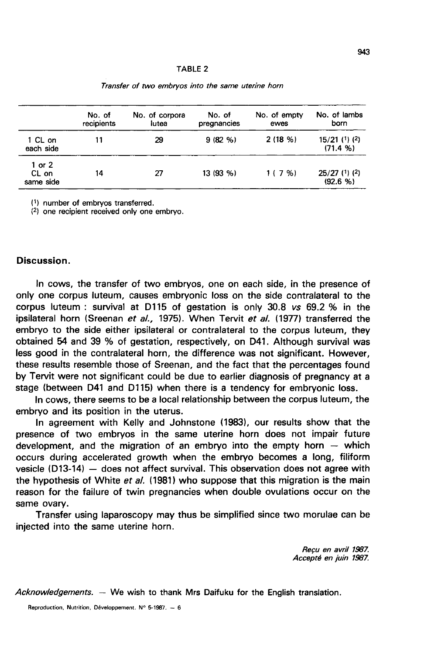|                                | No. of<br>recipients | No. of corpora<br>lutea | No. of<br>pregnancies | No. of empty<br>ewes | No. of lambs<br>born        |
|--------------------------------|----------------------|-------------------------|-----------------------|----------------------|-----------------------------|
| 1 CL on<br>each side           | 11                   | 29                      | 9(82%)                | 2(18%)               | $15/21$ (1) (2)<br>(71.4 %) |
| 1 or $2$<br>CL on<br>same side | 14                   | 27                      | 13 (93 %)             | 1(7%)                | $25/27$ (1) (2)<br>(92.6 %) |

Transfer of two embryos into the same uterine horn

(1) number of embryos transferred.

(2) one recipient received only one embryo.

#### Discussion.

In cows, the transfer of two embryos, one on each side, in the presence of only one corpus luteum, causes embryonic loss on the side contralateral to the corpus luteum : survival at D115 of gestation is only 30.8 vs 69.2 % in the ipsilateral horn (Sreenan et al., 1975). When Tervit et al. (1977) transferred the embryo to the side either ipsilateral or contralateral to the corpus luteum, they obtained 54 and 39 % of gestation, respectively, on D41. Although survival was less good in the contralateral horn, the difference was not significant. However, these results resemble those of Sreenan, and the fact that the percentages found by Tervit were not significant could be due to earlier diagnosis of pregnancy at a stage (between D41 and D115) when there is a tendency for embryonic loss.

In cows, there seems to be a local relationship between the corpus luteum, the embryo and its position in the uterus.

In agreement with Kelly and Johnstone (1983), our results show that the presence of two embryos in the same uterine horn does not impair future development, and the migration of an embryo into the empty horn  $-$  which occurs during accelerated growth when the embryo becomes a long, filiform vesicle (D13-14)  $-$  does not affect survival. This observation does not agree with the hypothesis of White et al. (1981) who suppose that this migration is the main reason for the failure of twin pregnancies when double ovulations occur on the same ovary.

Transfer using laparoscopy may thus be simplified since two morulae can be injected into the same uterine horn.

> Recu en avril 1987. Accept6 en juin 1987.

Acknowledgements.  $-$  We wish to thank Mrs Daifuku for the English translation.